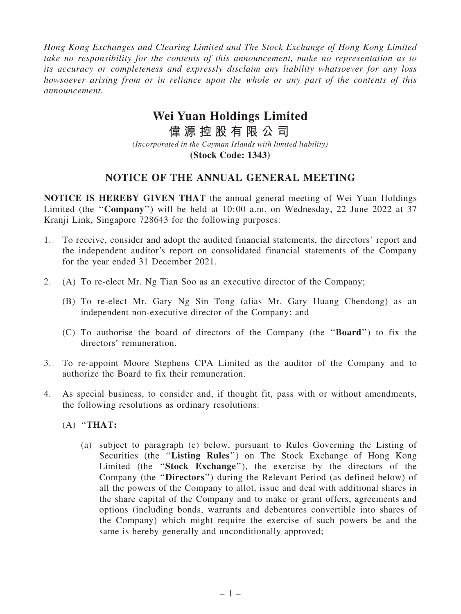*Hong Kong Exchanges and Clearing Limited and The Stock Exchange of Hong Kong Limited take no responsibility for the contents of this announcement, make no representation as to its accuracy or completeness and expressly disclaim any liability whatsoever for any loss howsoever arising from or in reliance upon the whole or any part of the contents of this announcement.*

## **Wei Yuan Holdings Limited**

**偉 源 控 股 有 限 公 司** *(Incorporated in the Cayman Islands with limited liability)* **(Stock Code: 1343)**

## NOTICE OF THE ANNUAL GENERAL MEETING

NOTICE IS HEREBY GIVEN THAT the annual general meeting of Wei Yuan Holdings Limited (the "Company") will be held at 10:00 a.m. on Wednesday, 22 June 2022 at 37 Kranji Link, Singapore 728643 for the following purposes:

- 1. To receive, consider and adopt the audited financial statements, the directors' report and the independent auditor's report on consolidated financial statements of the Company for the year ended 31 December 2021.
- 2. (A) To re-elect Mr. Ng Tian Soo as an executive director of the Company;
	- (B) To re-elect Mr. Gary Ng Sin Tong (alias Mr. Gary Huang Chendong) as an independent non-executive director of the Company; and
	- (C) To authorise the board of directors of the Company (the ''Board'') to fix the directors' remuneration.
- 3. To re-appoint Moore Stephens CPA Limited as the auditor of the Company and to authorize the Board to fix their remuneration.
- 4. As special business, to consider and, if thought fit, pass with or without amendments, the following resolutions as ordinary resolutions:
	- $(A)$  "THAT:
		- (a) subject to paragraph (c) below, pursuant to Rules Governing the Listing of Securities (the "Listing Rules") on The Stock Exchange of Hong Kong Limited (the "Stock Exchange"), the exercise by the directors of the Company (the ''Directors'') during the Relevant Period (as defined below) of all the powers of the Company to allot, issue and deal with additional shares in the share capital of the Company and to make or grant offers, agreements and options (including bonds, warrants and debentures convertible into shares of the Company) which might require the exercise of such powers be and the same is hereby generally and unconditionally approved;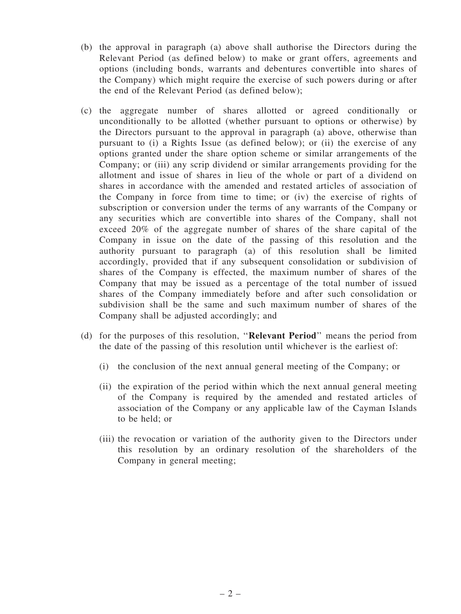- (b) the approval in paragraph (a) above shall authorise the Directors during the Relevant Period (as defined below) to make or grant offers, agreements and options (including bonds, warrants and debentures convertible into shares of the Company) which might require the exercise of such powers during or after the end of the Relevant Period (as defined below);
- (c) the aggregate number of shares allotted or agreed conditionally or unconditionally to be allotted (whether pursuant to options or otherwise) by the Directors pursuant to the approval in paragraph (a) above, otherwise than pursuant to (i) a Rights Issue (as defined below); or (ii) the exercise of any options granted under the share option scheme or similar arrangements of the Company; or (iii) any scrip dividend or similar arrangements providing for the allotment and issue of shares in lieu of the whole or part of a dividend on shares in accordance with the amended and restated articles of association of the Company in force from time to time; or (iv) the exercise of rights of subscription or conversion under the terms of any warrants of the Company or any securities which are convertible into shares of the Company, shall not exceed 20% of the aggregate number of shares of the share capital of the Company in issue on the date of the passing of this resolution and the authority pursuant to paragraph (a) of this resolution shall be limited accordingly, provided that if any subsequent consolidation or subdivision of shares of the Company is effected, the maximum number of shares of the Company that may be issued as a percentage of the total number of issued shares of the Company immediately before and after such consolidation or subdivision shall be the same and such maximum number of shares of the Company shall be adjusted accordingly; and
- (d) for the purposes of this resolution, ''Relevant Period'' means the period from the date of the passing of this resolution until whichever is the earliest of:
	- (i) the conclusion of the next annual general meeting of the Company; or
	- (ii) the expiration of the period within which the next annual general meeting of the Company is required by the amended and restated articles of association of the Company or any applicable law of the Cayman Islands to be held; or
	- (iii) the revocation or variation of the authority given to the Directors under this resolution by an ordinary resolution of the shareholders of the Company in general meeting;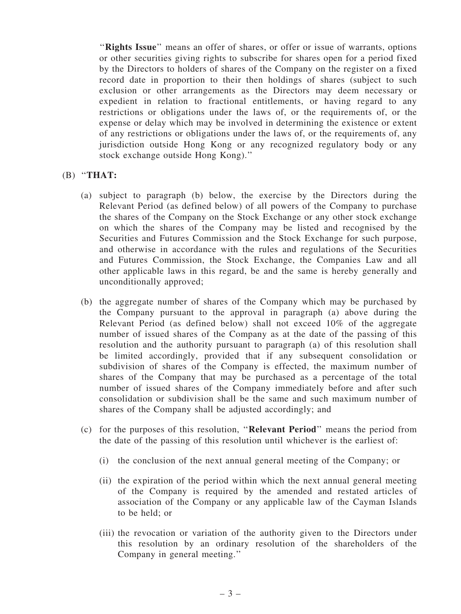"Rights Issue" means an offer of shares, or offer or issue of warrants, options or other securities giving rights to subscribe for shares open for a period fixed by the Directors to holders of shares of the Company on the register on a fixed record date in proportion to their then holdings of shares (subject to such exclusion or other arrangements as the Directors may deem necessary or expedient in relation to fractional entitlements, or having regard to any restrictions or obligations under the laws of, or the requirements of, or the expense or delay which may be involved in determining the existence or extent of any restrictions or obligations under the laws of, or the requirements of, any jurisdiction outside Hong Kong or any recognized regulatory body or any stock exchange outside Hong Kong).''

- $(B)$  "THAT:
	- (a) subject to paragraph (b) below, the exercise by the Directors during the Relevant Period (as defined below) of all powers of the Company to purchase the shares of the Company on the Stock Exchange or any other stock exchange on which the shares of the Company may be listed and recognised by the Securities and Futures Commission and the Stock Exchange for such purpose, and otherwise in accordance with the rules and regulations of the Securities and Futures Commission, the Stock Exchange, the Companies Law and all other applicable laws in this regard, be and the same is hereby generally and unconditionally approved;
	- (b) the aggregate number of shares of the Company which may be purchased by the Company pursuant to the approval in paragraph (a) above during the Relevant Period (as defined below) shall not exceed 10% of the aggregate number of issued shares of the Company as at the date of the passing of this resolution and the authority pursuant to paragraph (a) of this resolution shall be limited accordingly, provided that if any subsequent consolidation or subdivision of shares of the Company is effected, the maximum number of shares of the Company that may be purchased as a percentage of the total number of issued shares of the Company immediately before and after such consolidation or subdivision shall be the same and such maximum number of shares of the Company shall be adjusted accordingly; and
	- (c) for the purposes of this resolution, ''Relevant Period'' means the period from the date of the passing of this resolution until whichever is the earliest of:
		- (i) the conclusion of the next annual general meeting of the Company; or
		- (ii) the expiration of the period within which the next annual general meeting of the Company is required by the amended and restated articles of association of the Company or any applicable law of the Cayman Islands to be held; or
		- (iii) the revocation or variation of the authority given to the Directors under this resolution by an ordinary resolution of the shareholders of the Company in general meeting.''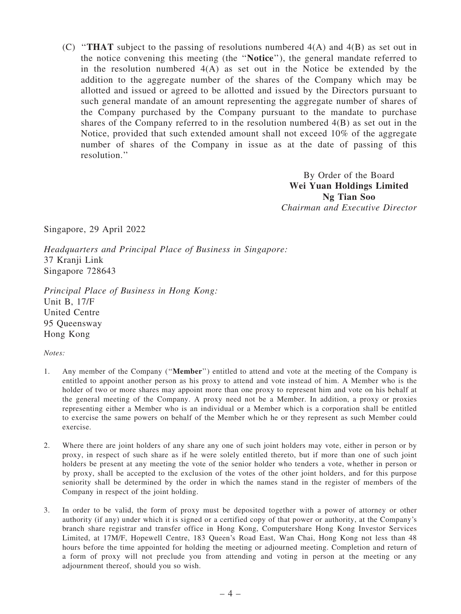(C) ''THAT subject to the passing of resolutions numbered 4(A) and 4(B) as set out in the notice convening this meeting (the ''Notice''), the general mandate referred to in the resolution numbered  $4(A)$  as set out in the Notice be extended by the addition to the aggregate number of the shares of the Company which may be allotted and issued or agreed to be allotted and issued by the Directors pursuant to such general mandate of an amount representing the aggregate number of shares of the Company purchased by the Company pursuant to the mandate to purchase shares of the Company referred to in the resolution numbered 4(B) as set out in the Notice, provided that such extended amount shall not exceed 10% of the aggregate number of shares of the Company in issue as at the date of passing of this resolution.''

> By Order of the Board Wei Yuan Holdings Limited Ng Tian Soo *Chairman and Executive Director*

Singapore, 29 April 2022

*Headquarters and Principal Place of Business in Singapore:* 37 Kranji Link Singapore 728643

*Principal Place of Business in Hong Kong:* Unit B, 17/F United Centre 95 Queensway Hong Kong

*Notes:*

- 1. Any member of the Company (''Member'') entitled to attend and vote at the meeting of the Company is entitled to appoint another person as his proxy to attend and vote instead of him. A Member who is the holder of two or more shares may appoint more than one proxy to represent him and vote on his behalf at the general meeting of the Company. A proxy need not be a Member. In addition, a proxy or proxies representing either a Member who is an individual or a Member which is a corporation shall be entitled to exercise the same powers on behalf of the Member which he or they represent as such Member could exercise.
- 2. Where there are joint holders of any share any one of such joint holders may vote, either in person or by proxy, in respect of such share as if he were solely entitled thereto, but if more than one of such joint holders be present at any meeting the vote of the senior holder who tenders a vote, whether in person or by proxy, shall be accepted to the exclusion of the votes of the other joint holders, and for this purpose seniority shall be determined by the order in which the names stand in the register of members of the Company in respect of the joint holding.
- 3. In order to be valid, the form of proxy must be deposited together with a power of attorney or other authority (if any) under which it is signed or a certified copy of that power or authority, at the Company's branch share registrar and transfer office in Hong Kong, Computershare Hong Kong Investor Services Limited, at 17M/F, Hopewell Centre, 183 Queen's Road East, Wan Chai, Hong Kong not less than 48 hours before the time appointed for holding the meeting or adjourned meeting. Completion and return of a form of proxy will not preclude you from attending and voting in person at the meeting or any adjournment thereof, should you so wish.